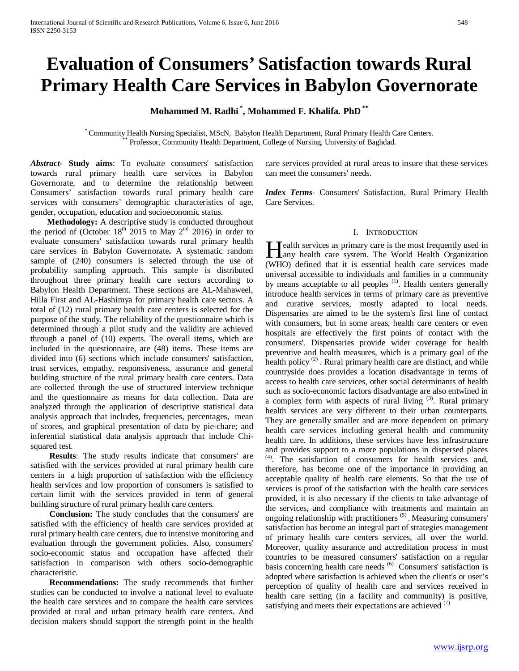# **Evaluation of Consumers' Satisfaction towards Rural Primary Health Care Services in Babylon Governorate**

**Mohammed M. Radhi \* , Mohammed F. Khalifa. PhD \*\***

\* Community Health Nursing Specialist, MScN, Babylon Health Department, Rural Primary Health Care Centers. \*\* Professor, Community Health Department, College of Nursing, University of Baghdad.

*Abstract***- Study aims**: To evaluate consumers' satisfaction towards rural primary health care services in Babylon Governorate, and to determine the relationship between Consumers' satisfaction towards rural primary health care services with consumers' demographic characteristics of age, gender, occupation, education and socioeconomic status.

 **Methodology:** A descriptive study is conducted throughout the period of (October  $18<sup>th</sup>$  2015 to May  $2<sup>nd</sup>$  2016) in order to evaluate consumers' satisfaction towards rural primary health care services in Babylon Governorate**.** A systematic random sample of (240) consumers is selected through the use of probability sampling approach. This sample is distributed throughout three primary health care sectors according to Babylon Health Department. These sections are AL-Mahaweel, Hilla First and AL-Hashimya for primary health care sectors. A total of (12) rural primary health care centers is selected for the purpose of the study. The reliability of the questionnaire which is determined through a pilot study and the validity are achieved through a panel of (10) experts. The overall items, which are included in the questionnaire, are (48) items. These items are divided into (6) sections which include consumers' satisfaction, trust services, empathy, responsiveness, assurance and general building structure of the rural primary health care centers. Data are collected through the use of structured interview technique and the questionnaire as means for data collection. Data are analyzed through the application of descriptive statistical data analysis approach that includes, frequencies, percentages, mean of scores, and graphical presentation of data by pie-chare; and inferential statistical data analysis approach that include Chisquared test.

 **Results**: The study results indicate that consumers' are satisfied with the services provided at rural primary health care centers in a high proportion of satisfaction with the efficiency health services and low proportion of consumers is satisfied to certain limit with the services provided in term of general building structure of rural primary health care centers.

 **Conclusion:** The study concludes that the consumers' are satisfied with the efficiency of health care services provided at rural primary health care centers, due to intensive monitoring and evaluation through the government policies. Also, consumers' socio-economic status and occupation have affected their satisfaction in comparison with others socio-demographic characteristic.

 **Recommendations:** The study recommends that further studies can be conducted to involve a national level to evaluate the health care services and to compare the health care services provided at rural and urban primary health care centers. And decision makers should support the strength point in the health care services provided at rural areas to insure that these services can meet the consumers' needs.

*Index Terms*- Consumers' Satisfaction, Rural Primary Health Care Services.

## I. INTRODUCTION

Tealth services as primary care is the most frequently used in **Health services as primary care is the most frequently used in**<br>any health care system. The World Health Organization (WHO) defined that it is essential health care services made universal accessible to individuals and families in a community by means acceptable to all peoples<sup>(1)</sup>. Health centers generally introduce health services in terms of primary care as preventive and curative services, mostly adapted to local needs. Dispensaries are aimed to be the system's first line of contact with consumers, but in some areas, health care centers or even hospitals are effectively the first points of contact with the consumers'. Dispensaries provide wider coverage for health preventive and health measures, which is a primary goal of the health policy<sup>(2)</sup>. Rural primary health care are distinct, and while countryside does provides a location disadvantage in terms of access to health care services, other social determinants of health such as socio-economic factors disadvantage are also entwined in a complex form with aspects of rural living <sup>(3)</sup>. Rural primary health services are very different to their urban counterparts. They are generally smaller and are more dependent on primary health care services including general health and community health care. In additions, these services have less infrastructure and provides support to a more populations in dispersed places <sup>(4)</sup>. The satisfaction of consumers for health services and, therefore, has become one of the importance in providing an acceptable quality of health care elements. So that the use of services is proof of the satisfaction with the health care services provided, it is also necessary if the clients to take advantage of the services, and compliance with treatments and maintain an ongoing relationship with practitioners<sup>(5)</sup>. Measuring consumers' satisfaction has become an integral part of strategies management of primary health care centers services, all over the world. Moreover, quality assurance and accreditation process in most countries to be measured consumers' satisfaction on a regular basis concerning health care needs <sup>(6)</sup> Consumers' satisfaction is adopted where satisfaction is achieved when the client's or user's perception of quality of health care and services received in health care setting (in a facility and community) is positive, satisfying and meets their expectations are achieved <sup>(7)</sup>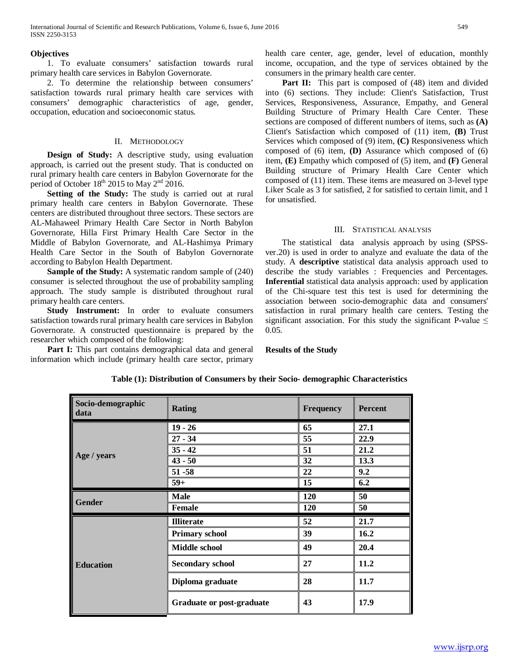International Journal of Scientific and Research Publications, Volume 6, Issue 6, June 2016 549 ISSN 2250-3153

## **Objectives**

 1. To evaluate consumers' satisfaction towards rural primary health care services in Babylon Governorate.

 2. To determine the relationship between consumers' satisfaction towards rural primary health care services with consumers' demographic characteristics of age, gender, occupation, education and socioeconomic status.

## II. METHODOLOGY

 **Design of Study:** A descriptive study, using evaluation approach, is carried out the present study. That is conducted on rural primary health care centers in Babylon Governorate for the period of October 18<sup>th</sup> 2015 to May 2<sup>nd</sup> 2016.

Setting of the Study: The study is carried out at rural primary health care centers in Babylon Governorate. These centers are distributed throughout three sectors. These sectors are AL-Mahaweel Primary Health Care Sector in North Babylon Governorate, Hilla First Primary Health Care Sector in the Middle of Babylon Governorate, and AL-Hashimya Primary Health Care Sector in the South of Babylon Governorate according to Babylon Health Department.

 **Sample of the Study:** A systematic random sample of (240) consumer is selected throughout the use of probability sampling approach. The study sample is distributed throughout rural primary health care centers.

 **Study Instrument:** In order to evaluate consumers satisfaction towards rural primary health care services in Babylon Governorate. A constructed questionnaire is prepared by the researcher which composed of the following:

Part I: This part contains demographical data and general information which include (primary health care sector, primary health care center, age, gender, level of education, monthly income, occupation, and the type of services obtained by the consumers in the primary health care center.

Part II: This part is composed of (48) item and divided into (6) sections. They include: Client's Satisfaction, Trust Services, Responsiveness, Assurance, Empathy, and General Building Structure of Primary Health Care Center. These sections are composed of different numbers of items, such as **(A)** Client's Satisfaction which composed of (11) item, **(B)** Trust Services which composed of (9) item, **(C)** Responsiveness which composed of (6) item, **(D)** Assurance which composed of (6) item, **(E)** Empathy which composed of (5) item, and **(F)** General Building structure of Primary Health Care Center which composed of (11) item. These items are measured on 3-level type Liker Scale as 3 for satisfied, 2 for satisfied to certain limit, and 1 for unsatisfied.

## III. STATISTICAL ANALYSIS

 The statistical data analysis approach by using (SPSSver.20) is used in order to analyze and evaluate the data of the study. A **descriptive** statistical data analysis approach used to describe the study variables : Frequencies and Percentages. **Inferential** statistical data analysis approach: used by application of the Chi-square test this test is used for determining the association between socio-demographic data and consumers' satisfaction in rural primary health care centers. Testing the significant association. For this study the significant P-value  $\leq$ 0.05.

**Results of the Study**

| Socio-demographic<br>data | <b>Rating</b>             | <b>Frequency</b> | <b>Percent</b> |  |
|---------------------------|---------------------------|------------------|----------------|--|
|                           | $19 - 26$                 | 65               | 27.1           |  |
|                           | $27 - 34$                 | 55               | 22.9           |  |
|                           | $35 - 42$                 | 51               | 21.2           |  |
| Age / years               | $43 - 50$                 | 32               | 13.3           |  |
|                           | $51 - 58$                 | 22               | 9.2            |  |
|                           | $59+$                     | 15               | 6.2            |  |
| <b>Gender</b>             | <b>Male</b>               | 120              | 50             |  |
|                           | <b>Female</b>             | 120              | 50             |  |
|                           | <b>Illiterate</b>         | 52               | 21.7           |  |
|                           | <b>Primary school</b>     | 39               | 16.2           |  |
|                           | <b>Middle school</b>      | 49               | 20.4           |  |
| <b>Education</b>          | <b>Secondary school</b>   | 27               | 11.2           |  |
|                           | Diploma graduate          | 28               | 11.7           |  |
|                           | Graduate or post-graduate | 43               | 17.9           |  |

# **Table (1): Distribution of Consumers by their Socio- demographic Characteristics**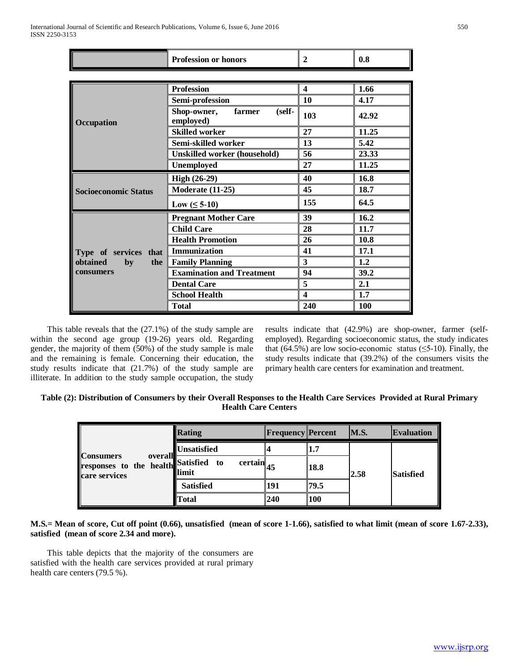L.

|                             | <b>Profession or honors</b>                  | $\overline{2}$ | 0.8   |
|-----------------------------|----------------------------------------------|----------------|-------|
|                             |                                              |                |       |
|                             | <b>Profession</b>                            | 4              | 1.66  |
|                             | Semi-profession                              | 10             | 4.17  |
| Occupation                  | Shop-owner,<br>farmer<br>(self-<br>employed) | 103            | 42.92 |
|                             | <b>Skilled worker</b>                        | 27             | 11.25 |
|                             | Semi-skilled worker                          | 13             | 5.42  |
|                             | <b>Unskilled worker (household)</b>          | 56             | 23.33 |
|                             | Unemployed                                   | 27             | 11.25 |
|                             | <b>High (26-29)</b>                          | 40             | 16.8  |
| <b>Socioeconomic Status</b> | <b>Moderate (11-25)</b>                      | 45             | 18.7  |
|                             | Low $( \leq 5\n-10)$                         | 155            | 64.5  |
|                             | <b>Pregnant Mother Care</b>                  | 39             | 16.2  |
|                             | <b>Child Care</b>                            | 28             | 11.7  |
|                             | <b>Health Promotion</b>                      | 26             | 10.8  |
| Type of services that       | Immunization                                 | 41             | 17.1  |
| obtained<br>by<br>the       | <b>Family Planning</b>                       | 3              | 1.2   |
| consumers                   | <b>Examination and Treatment</b>             | 94             | 39.2  |
|                             | <b>Dental Care</b>                           | 5              | 2.1   |
|                             | <b>School Health</b>                         | 4              | 1.7   |
|                             | <b>Total</b>                                 | 240            | 100   |

 This table reveals that the (27.1%) of the study sample are within the second age group (19-26) years old. Regarding gender, the majority of them (50%) of the study sample is male and the remaining is female. Concerning their education, the study results indicate that (21.7%) of the study sample are illiterate. In addition to the study sample occupation, the study results indicate that (42.9%) are shop-owner, farmer (selfemployed). Regarding socioeconomic status, the study indicates that (64.5%) are low socio-economic status ( $\leq$ 5-10). Finally, the study results indicate that (39.2%) of the consumers visits the primary health care centers for examination and treatment.

| Table (2): Distribution of Consumers by their Overall Responses to the Health Care Services Provided at Rural Primary |  |
|-----------------------------------------------------------------------------------------------------------------------|--|
| <b>Health Care Centers</b>                                                                                            |  |

| <b>Consumers</b><br>overall<br>responses to the health Satisfied to<br>care services | <b>Rating</b>      | <b>Frequency Percent</b>       |     | M.S.       | <b>Evaluation</b> |                  |
|--------------------------------------------------------------------------------------|--------------------|--------------------------------|-----|------------|-------------------|------------------|
|                                                                                      | <b>Unsatisfied</b> |                                | 1.7 |            |                   |                  |
|                                                                                      |                    | $certain$ 45<br><b>Illimit</b> |     | 18.8       | 2.58              | <b>Satisfied</b> |
|                                                                                      |                    | <b>Satisfied</b>               | 191 | 79.5       |                   |                  |
|                                                                                      |                    | <b>Total</b>                   | 240 | <b>100</b> |                   |                  |

**M.S.= Mean of score, Cut off point (0.66), unsatisfied (mean of score 1-1.66), satisfied to what limit (mean of score 1.67-2.33), satisfied (mean of score 2.34 and more).** 

 This table depicts that the majority of the consumers are satisfied with the health care services provided at rural primary health care centers (79.5 %).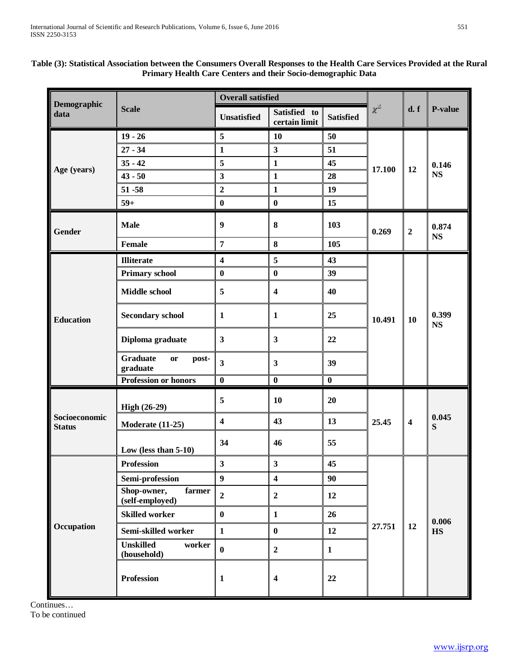| Demographic                    |                                                   | <b>Overall satisfied</b> |                               |                  |          |                         |                    |
|--------------------------------|---------------------------------------------------|--------------------------|-------------------------------|------------------|----------|-------------------------|--------------------|
| data                           | <b>Scale</b>                                      | <b>Unsatisfied</b>       | Satisfied to<br>certain limit | <b>Satisfied</b> | $\chi^2$ | d. f                    | P-value            |
|                                | $19 - 26$                                         | 5                        | 10                            | 50               |          |                         | 0.146<br><b>NS</b> |
|                                | $27 - 34$                                         | $\mathbf{1}$             | $\overline{\mathbf{3}}$       | 51               |          | 12                      |                    |
|                                | $35 - 42$                                         | 5                        | $\mathbf{1}$                  | 45               | 17.100   |                         |                    |
| Age (years)                    | $43 - 50$                                         | $\overline{\mathbf{3}}$  | $\mathbf{1}$                  | 28               |          |                         |                    |
|                                | $51 - 58$                                         | $\mathbf{2}$             | $\mathbf{1}$                  | 19               |          |                         |                    |
|                                | $59+$                                             | $\bf{0}$                 | $\bf{0}$                      | 15               |          |                         |                    |
| Gender                         | <b>Male</b>                                       | 9                        | $\bf{8}$                      | 103              | 0.269    | $\boldsymbol{2}$        | 0.874<br><b>NS</b> |
|                                | <b>Female</b>                                     | $\overline{7}$           | 8                             | 105              |          |                         |                    |
|                                | <b>Illiterate</b>                                 | $\overline{\mathbf{4}}$  | 5                             | 43               |          | 10                      | 0.399<br><b>NS</b> |
|                                | <b>Primary school</b>                             | $\bf{0}$                 | $\bf{0}$                      | 39               |          |                         |                    |
| <b>Education</b>               | <b>Middle school</b>                              | 5                        | $\overline{\mathbf{4}}$       | 40               |          |                         |                    |
|                                | <b>Secondary school</b>                           | $\mathbf{1}$             | $\mathbf{1}$                  | 25               | 10.491   |                         |                    |
|                                | Diploma graduate                                  | $\mathbf{3}$             | $\mathbf{3}$                  | 22               |          |                         |                    |
|                                | <b>Graduate</b><br><b>or</b><br>post-<br>graduate | $\overline{\mathbf{3}}$  | $\mathbf{3}$                  | 39               |          |                         |                    |
|                                | <b>Profession or honors</b>                       | $\bf{0}$                 | $\bf{0}$                      | $\bf{0}$         |          |                         |                    |
|                                | High (26-29)                                      | 5                        | 10                            | 20               |          |                         |                    |
| Socioeconomic<br><b>Status</b> | <b>Moderate (11-25)</b>                           | $\overline{\mathbf{4}}$  | 43                            | 13               | 25.45    | $\overline{\mathbf{4}}$ | 0.045<br>S         |
|                                | Low (less than $5-10$ )                           | 34                       | 46                            | 55               |          |                         |                    |
| Occupation                     | <b>Profession</b>                                 | $\overline{\mathbf{3}}$  | 3                             | 45               |          |                         |                    |
|                                | Semi-profession                                   | $\boldsymbol{9}$         | $\overline{\mathbf{4}}$       | 90               |          |                         |                    |
|                                | Shop-owner,<br>farmer<br>(self-employed)          | $\overline{2}$           | $\mathbf 2$                   | 12               |          |                         |                    |
|                                | <b>Skilled worker</b>                             | $\bf{0}$                 | $\mathbf{1}$                  | 26               |          |                         |                    |
|                                | Semi-skilled worker                               | $\mathbf{1}$             | $\bf{0}$                      | 12               | 27.751   | 12                      | 0.006<br><b>HS</b> |
|                                | <b>Unskilled</b><br>worker<br>(household)         | $\bf{0}$                 | $\mathbf 2$                   | $\mathbf{1}$     |          |                         |                    |
|                                | <b>Profession</b>                                 | $\mathbf{1}$             | $\overline{\mathbf{4}}$       | 22               |          |                         |                    |

# **Table (3): Statistical Association between the Consumers Overall Responses to the Health Care Services Provided at the Rural Primary Health Care Centers and their Socio-demographic Data**

Continues… To be continued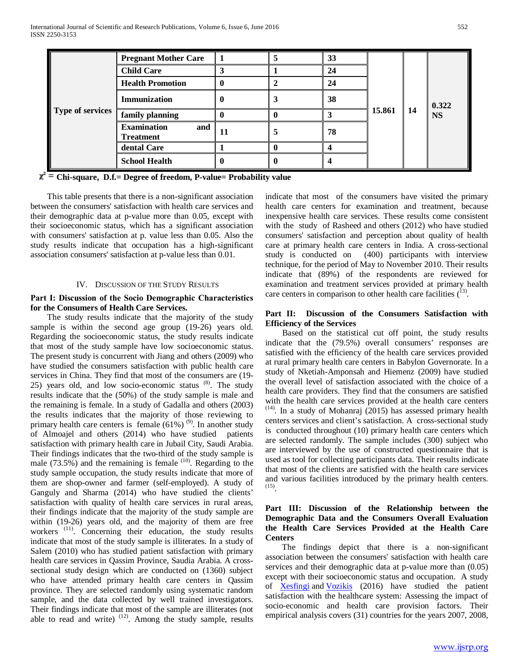| <b>Type of services</b> | <b>Pregnant Mother Care</b>                   |    | 5 | 33 | 15.861 | -14 | 0.322<br><b>NS</b> |
|-------------------------|-----------------------------------------------|----|---|----|--------|-----|--------------------|
|                         | <b>Child Care</b>                             |    |   | 24 |        |     |                    |
|                         | <b>Health Promotion</b>                       |    |   | 24 |        |     |                    |
|                         | Immunization                                  | v  | 3 | 38 |        |     |                    |
|                         | family planning                               |    |   |    |        |     |                    |
|                         | <b>Examination</b><br>and<br><b>Treatment</b> | 11 | 5 | 78 |        |     |                    |
|                         | dental Care                                   |    |   |    |        |     |                    |
|                         | <b>School Health</b>                          |    |   |    |        |     |                    |

 $\chi^2$  = Chi-square, D.f.= Degree of freedom, P-value= Probability value

 This table presents that there is a non-significant association between the consumers' satisfaction with health care services and their demographic data at p-value more than 0.05, except with their socioeconomic status, which has a significant association with consumers' satisfaction at p. value less than 0.05. Also the study results indicate that occupation has a high-significant association consumers' satisfaction at p-value less than 0.01.

# IV. DISCUSSION OF THE STUDY RESULTS

# **Part Ι: Discussion of the Socio Demographic Characteristics for the Consumers of Health Care Services.**

 The study results indicate that the majority of the study sample is within the second age group (19-26) years old. Regarding the socioeconomic status, the study results indicate that most of the study sample have low socioeconomic status. The present study is concurrent with Jiang and others (2009) who have studied the consumers satisfaction with public health care services in China. They find that most of the consumers are (19- 25) years old, and low socio-economic status  $(8)$ . The study results indicate that the (50%) of the study sample is male and the remaining is female. In a study of Gadalla and others (2003) the results indicates that the majority of those reviewing to primary health care centers is female  $(61\%)$ <sup>(9)</sup>. In another study of Almoajel and others (2014) who have studied patients satisfaction with primary health care in Jubail City, Saudi Arabia. Their findings indicates that the two-third of the study sample is male  $(73.5\%)$  and the remaining is female  $(10)$ . Regarding to the study sample occupation, the study results indicate that more of them are shop-owner and farmer (self-employed). A study of Ganguly and Sharma (2014) who have studied the clients' satisfaction with quality of health care services in rural areas, their findings indicate that the majority of the study sample are within (19-26) years old, and the majority of them are free workers <sup>(11)</sup>. Concerning their education, the study results indicate that most of the study sample is illiterates. In a study of Salem (2010) who has studied patient satisfaction with primary health care services in Qassim Province, Saudia Arabia. A crosssectional study design which are conducted on (1360) subject who have attended primary health care centers in Qassim province. They are selected randomly using systematic random sample, and the data collected by well trained investigators. Their findings indicate that most of the sample are illiterates (not able to read and write)  $(12)$ . Among the study sample, results

indicate that most of the consumers have visited the primary health care centers for examination and treatment, because inexpensive health care services. These results come consistent with the study of Rasheed and others (2012) who have studied consumers' satisfaction and perception about quality of health care at primary health care centers in India. A cross-sectional study is conducted on (400) participants with interview technique, for the period of May to November 2010. Their results indicate that (89%) of the respondents are reviewed for examination and treatment services provided at primary health care centers in comparison to other health care facilities  $(13)$ .

# **Part II: Discussion of the Consumers Satisfaction with Efficiency of the Services**

 Based on the statistical cut off point, the study results indicate that the (79.5%) overall consumers' responses are satisfied with the efficiency of the health care services provided at rural primary health care centers in Babylon Governorate. In a study of Nketiah-Amponsah and Hiemenz (2009) have studied the overall level of satisfaction associated with the choice of a health care providers. They find that the consumers are satisfied with the health care services provided at the health care centers (14). In a study of Mohanraj (2015) has assessed primary health centers services and client's satisfaction. A cross-sectional study is conducted throughout (10) primary health care centers which are selected randomly. The sample includes (300) subject who are interviewed by the use of constructed questionnaire that is used as tool for collecting participants data. Their results indicate that most of the clients are satisfied with the health care services and various facilities introduced by the primary health centers. (15).

# **Part III: Discussion of the Relationship between the Demographic Data and the Consumers Overall Evaluation the Health Care Services Provided at the Health Care Centers**

 The findings depict that there is a non-significant association between the consumers' satisfaction with health care services and their demographic data at p-value more than (0.05) except with their socioeconomic status and occupation. A study of [Xesfingi](http://www.ncbi.nlm.nih.gov/pubmed/?term=Xesfingi%20S%5Bauth%5D) and [Vozikis](http://www.ncbi.nlm.nih.gov/pubmed/?term=Vozikis%20A%5Bauth%5D) (2016) have studied the patient satisfaction with the healthcare system: Assessing the impact of socio-economic and health care provision factors. Their empirical analysis covers (31) countries for the years 2007, 2008,